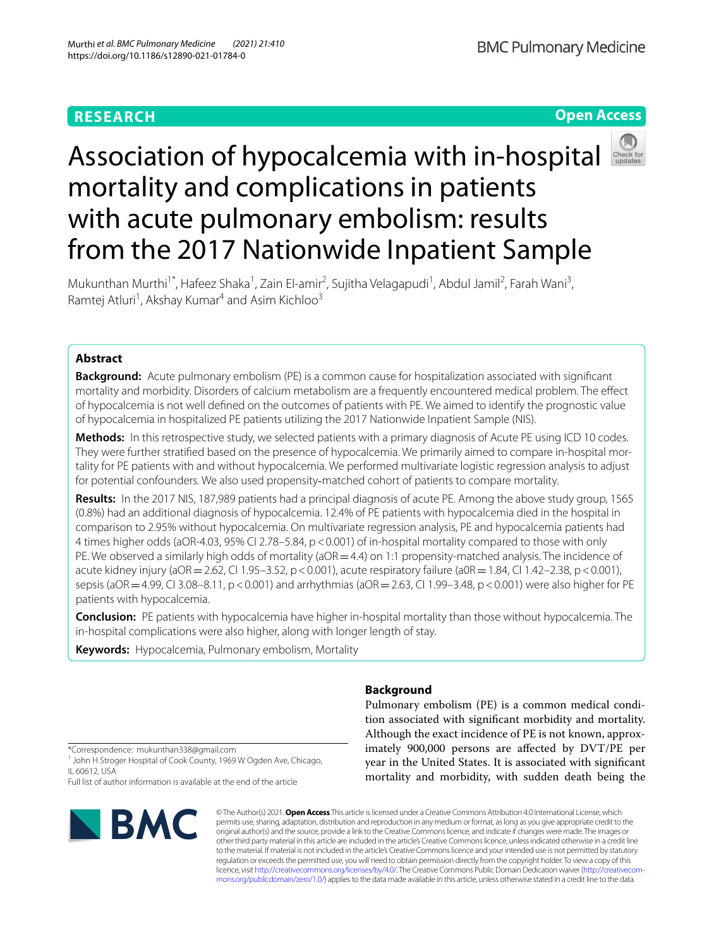# **RESEARCH**

**Open Access**

**BMC Pulmonary Medicine** 

# Association of hypocalcemia with in-hospital mortality and complications in patients with acute pulmonary embolism: results from the 2017 Nationwide Inpatient Sample



Mukunthan Murthi<sup>1\*</sup>, Hafeez Shaka<sup>1</sup>, Zain El-amir<sup>2</sup>, Sujitha Velagapudi<sup>1</sup>, Abdul Jamil<sup>2</sup>, Farah Wani<sup>3</sup>, Ramtej Atluri<sup>1</sup>, Akshay Kumar<sup>4</sup> and Asim Kichloo<sup>3</sup>

# **Abstract**

**Background:** Acute pulmonary embolism (PE) is a common cause for hospitalization associated with signifcant mortality and morbidity. Disorders of calcium metabolism are a frequently encountered medical problem. The efect of hypocalcemia is not well defned on the outcomes of patients with PE. We aimed to identify the prognostic value of hypocalcemia in hospitalized PE patients utilizing the 2017 Nationwide Inpatient Sample (NIS).

**Methods:** In this retrospective study, we selected patients with a primary diagnosis of Acute PE using ICD 10 codes. They were further stratified based on the presence of hypocalcemia. We primarily aimed to compare in-hospital mortality for PE patients with and without hypocalcemia. We performed multivariate logistic regression analysis to adjust for potential confounders. We also used propensity-matched cohort of patients to compare mortality.

**Results:** In the 2017 NIS, 187,989 patients had a principal diagnosis of acute PE. Among the above study group, 1565 (0.8%) had an additional diagnosis of hypocalcemia. 12.4% of PE patients with hypocalcemia died in the hospital in comparison to 2.95% without hypocalcemia. On multivariate regression analysis, PE and hypocalcemia patients had 4 times higher odds (aOR-4.03, 95% CI 2.78–5.84, p<0.001) of in-hospital mortality compared to those with only PE. We observed a similarly high odds of mortality (aOR = 4.4) on 1:1 propensity-matched analysis. The incidence of acute kidney injury (aOR = 2.62, CI 1.95–3.52, p < 0.001), acute respiratory failure (a0R = 1.84, CI 1.42–2.38, p < 0.001), sepsis (aOR = 4.99, CI 3.08–8.11, p < 0.001) and arrhythmias (aOR = 2.63, CI 1.99–3.48, p < 0.001) were also higher for PE patients with hypocalcemia.

**Conclusion:** PE patients with hypocalcemia have higher in-hospital mortality than those without hypocalcemia. The in-hospital complications were also higher, along with longer length of stay.

**Keywords:** Hypocalcemia, Pulmonary embolism, Mortality

# **Background**

Pulmonary embolism (PE) is a common medical condition associated with signifcant morbidity and mortality. Although the exact incidence of PE is not known, approximately 900,000 persons are afected by DVT/PE per year in the United States. It is associated with signifcant mortality and morbidity, with sudden death being the

\*Correspondence: mukunthan338@gmail.com

<sup>1</sup> John H Stroger Hospital of Cook County, 1969 W Ogden Ave, Chicago, IL 60612, USA

Full list of author information is available at the end of the article



© The Author(s) 2021. **Open Access** This article is licensed under a Creative Commons Attribution 4.0 International License, which permits use, sharing, adaptation, distribution and reproduction in any medium or format, as long as you give appropriate credit to the original author(s) and the source, provide a link to the Creative Commons licence, and indicate if changes were made. The images or other third party material in this article are included in the article's Creative Commons licence, unless indicated otherwise in a credit line to the material. If material is not included in the article's Creative Commons licence and your intended use is not permitted by statutory regulation or exceeds the permitted use, you will need to obtain permission directly from the copyright holder. To view a copy of this licence, visit [http://creativecommons.org/licenses/by/4.0/.](http://creativecommons.org/licenses/by/4.0/) The Creative Commons Public Domain Dedication waiver (http://creativecom[mons.org/publicdomain/zero/1.0/\)](http://creativecommons.org/publicdomain/zero/1.0/) applies to the data made available in this article, unless otherwise stated in a credit line to the data.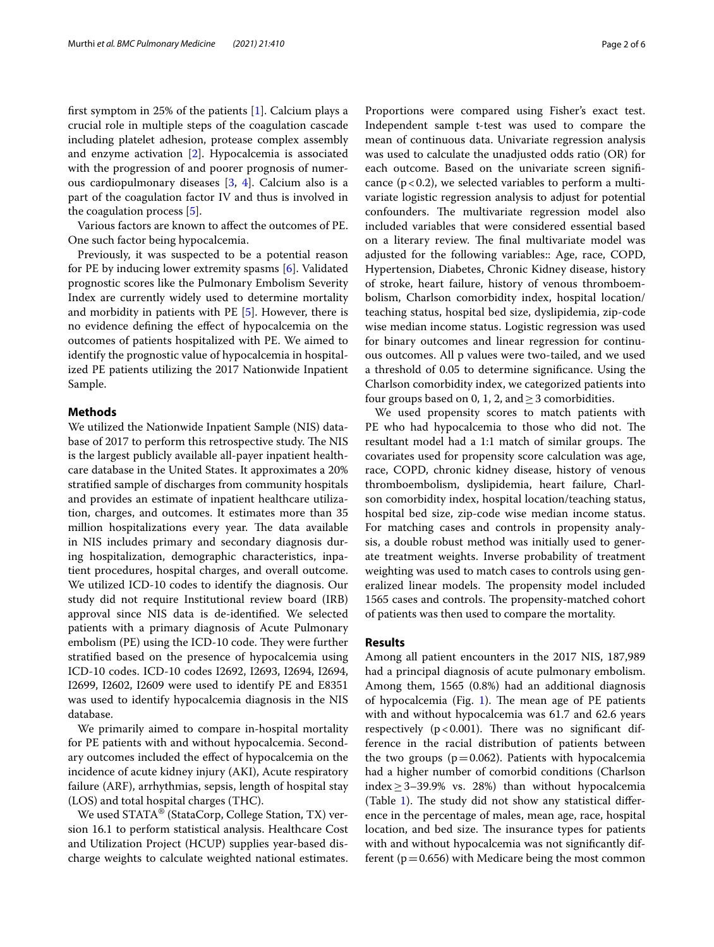frst symptom in 25% of the patients [\[1](#page-4-0)]. Calcium plays a crucial role in multiple steps of the coagulation cascade including platelet adhesion, protease complex assembly and enzyme activation [\[2](#page-4-1)]. Hypocalcemia is associated with the progression of and poorer prognosis of numerous cardiopulmonary diseases [[3,](#page-4-2) [4\]](#page-4-3). Calcium also is a part of the coagulation factor IV and thus is involved in the coagulation process [\[5](#page-4-4)].

Various factors are known to afect the outcomes of PE. One such factor being hypocalcemia.

Previously, it was suspected to be a potential reason for PE by inducing lower extremity spasms [[6\]](#page-4-5). Validated prognostic scores like the Pulmonary Embolism Severity Index are currently widely used to determine mortality and morbidity in patients with PE [[5\]](#page-4-4). However, there is no evidence defning the efect of hypocalcemia on the outcomes of patients hospitalized with PE. We aimed to identify the prognostic value of hypocalcemia in hospitalized PE patients utilizing the 2017 Nationwide Inpatient Sample.

## **Methods**

We utilized the Nationwide Inpatient Sample (NIS) database of 2017 to perform this retrospective study. The NIS is the largest publicly available all-payer inpatient healthcare database in the United States. It approximates a 20% stratifed sample of discharges from community hospitals and provides an estimate of inpatient healthcare utilization, charges, and outcomes. It estimates more than 35 million hospitalizations every year. The data available in NIS includes primary and secondary diagnosis during hospitalization, demographic characteristics, inpatient procedures, hospital charges, and overall outcome. We utilized ICD-10 codes to identify the diagnosis. Our study did not require Institutional review board (IRB) approval since NIS data is de-identifed. We selected patients with a primary diagnosis of Acute Pulmonary embolism (PE) using the ICD-10 code. They were further stratifed based on the presence of hypocalcemia using ICD-10 codes. ICD-10 codes I2692, I2693, I2694, I2694, I2699, I2602, I2609 were used to identify PE and E8351 was used to identify hypocalcemia diagnosis in the NIS database.

We primarily aimed to compare in-hospital mortality for PE patients with and without hypocalcemia. Secondary outcomes included the efect of hypocalcemia on the incidence of acute kidney injury (AKI), Acute respiratory failure (ARF), arrhythmias, sepsis, length of hospital stay (LOS) and total hospital charges (THC).

We used STATA<sup>®</sup> (StataCorp, College Station, TX) version 16.1 to perform statistical analysis. Healthcare Cost and Utilization Project (HCUP) supplies year-based discharge weights to calculate weighted national estimates.

Proportions were compared using Fisher's exact test. Independent sample t-test was used to compare the mean of continuous data. Univariate regression analysis was used to calculate the unadjusted odds ratio (OR) for each outcome. Based on the univariate screen signifcance  $(p < 0.2)$ , we selected variables to perform a multivariate logistic regression analysis to adjust for potential confounders. The multivariate regression model also included variables that were considered essential based on a literary review. The final multivariate model was adjusted for the following variables:: Age, race, COPD, Hypertension, Diabetes, Chronic Kidney disease, history of stroke, heart failure, history of venous thromboembolism, Charlson comorbidity index, hospital location/ teaching status, hospital bed size, dyslipidemia, zip-code wise median income status. Logistic regression was used for binary outcomes and linear regression for continuous outcomes. All p values were two-tailed, and we used a threshold of 0.05 to determine signifcance. Using the Charlson comorbidity index, we categorized patients into four groups based on 0, 1, 2, and  $\geq$  3 comorbidities.

We used propensity scores to match patients with PE who had hypocalcemia to those who did not. The resultant model had a 1:1 match of similar groups. The covariates used for propensity score calculation was age, race, COPD, chronic kidney disease, history of venous thromboembolism, dyslipidemia, heart failure, Charlson comorbidity index, hospital location/teaching status, hospital bed size, zip-code wise median income status. For matching cases and controls in propensity analysis, a double robust method was initially used to generate treatment weights. Inverse probability of treatment weighting was used to match cases to controls using generalized linear models. The propensity model included 1565 cases and controls. The propensity-matched cohort of patients was then used to compare the mortality.

### **Results**

Among all patient encounters in the 2017 NIS, 187,989 had a principal diagnosis of acute pulmonary embolism. Among them, 1565 (0.8%) had an additional diagnosis of hypocalcemia (Fig. [1\)](#page-2-0). The mean age of  $PE$  patients with and without hypocalcemia was 61.7 and 62.6 years respectively  $(p < 0.001)$ . There was no significant difference in the racial distribution of patients between the two groups ( $p=0.062$ ). Patients with hypocalcemia had a higher number of comorbid conditions (Charlson index  $\geq$  3–39.9% vs. 28%) than without hypocalcemia (Table [1](#page-2-1)). The study did not show any statistical difference in the percentage of males, mean age, race, hospital location, and bed size. The insurance types for patients with and without hypocalcemia was not signifcantly different ( $p=0.656$ ) with Medicare being the most common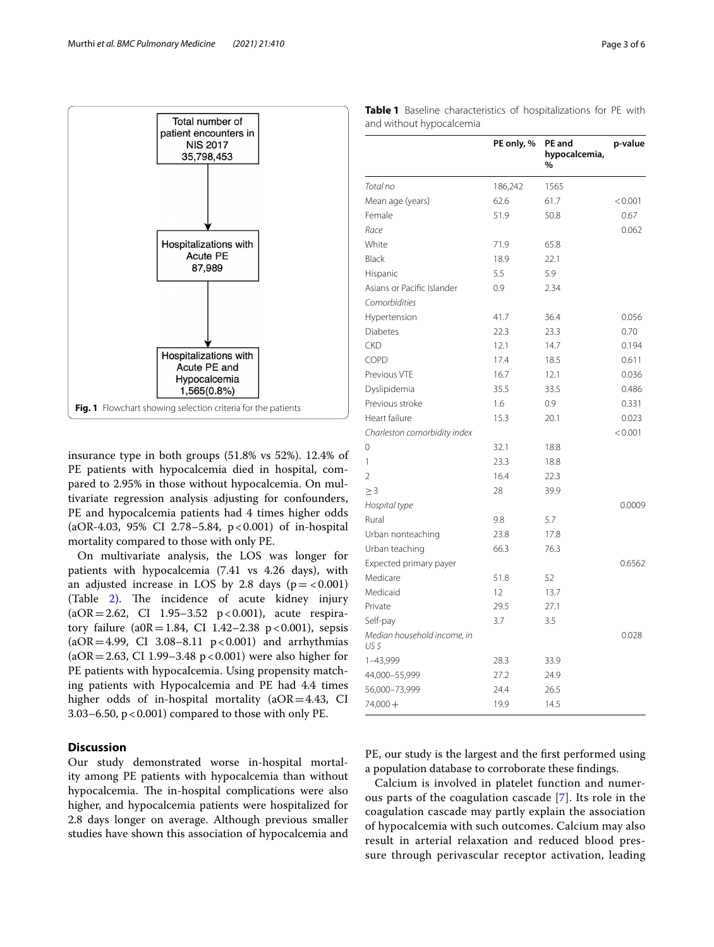

<span id="page-2-0"></span>insurance type in both groups (51.8% vs 52%). 12.4% of PE patients with hypocalcemia died in hospital, compared to 2.95% in those without hypocalcemia. On multivariate regression analysis adjusting for confounders, PE and hypocalcemia patients had 4 times higher odds (aOR-4.03, 95% CI 2.78–5.84, p<0.001) of in-hospital mortality compared to those with only PE.

On multivariate analysis, the LOS was longer for patients with hypocalcemia (7.41 vs 4.26 days), with an adjusted increase in LOS by 2.8 days  $(p = < 0.001)$ (Table  $2$ ). The incidence of acute kidney injury  $(aOR = 2.62, CI$  1.95-3.52  $p < 0.001$ ), acute respiratory failure (a0R=1.84, CI 1.42-2.38 p < 0.001), sepsis  $(aOR = 4.99, CI 3.08 - 8.11 p < 0.001)$  and arrhythmias  $(aOR = 2.63, CI\ 1.99 - 3.48\ p < 0.001)$  were also higher for PE patients with hypocalcemia. Using propensity matching patients with Hypocalcemia and PE had 4.4 times higher odds of in-hospital mortality ( $aOR = 4.43$ , CI 3.03–6.50,  $p < 0.001$ ) compared to those with only PE.

## **Discussion**

Our study demonstrated worse in-hospital mortality among PE patients with hypocalcemia than without hypocalcemia. The in-hospital complications were also higher, and hypocalcemia patients were hospitalized for 2.8 days longer on average. Although previous smaller studies have shown this association of hypocalcemia and

|                                     | PE UNIY, 70 | rc anu<br>hypocalcemia,<br>$\%$ | p-value |
|-------------------------------------|-------------|---------------------------------|---------|
| Total no                            | 186,242     | 1565                            |         |
| Mean age (years)                    | 62.6        | 61.7                            | < 0.001 |
| Female                              | 51.9        | 50.8                            | 0.67    |
| Race                                |             |                                 | 0.062   |
| White                               | 71.9        | 65.8                            |         |
| Black                               | 18.9        | 22.1                            |         |
| Hispanic                            | 5.5         | 5.9                             |         |
| Asians or Pacific Islander          | 0.9         | 2.34                            |         |
| Comorbidities                       |             |                                 |         |
| Hypertension                        | 41.7        | 36.4                            | 0.056   |
| <b>Diabetes</b>                     | 22.3        | 23.3                            | 0.70    |
| <b>CKD</b>                          | 12.1        | 14.7                            | 0.194   |
| COPD                                | 17.4        | 18.5                            | 0.611   |
| Previous VTE                        | 16.7        | 12.1                            | 0.036   |
| Dyslipidemia                        | 35.5        | 33.5                            | 0.486   |
| Previous stroke                     | 1.6         | 0.9                             | 0.331   |
| Heart failure                       | 15.3        | 20.1                            | 0.023   |
| Charleston comorbidity index        |             |                                 | < 0.001 |
| 0                                   | 32.1        | 18.8                            |         |
| 1                                   | 23.3        | 18.8                            |         |
| $\overline{2}$                      | 16.4        | 22.3                            |         |
| $\geq$ 3                            | 28          | 39.9                            |         |
| Hospital type                       |             |                                 | 0.0009  |
| Rural                               | 9.8         | 5.7                             |         |
| Urban nonteaching                   | 23.8        | 17.8                            |         |
| Urban teaching                      | 66.3        | 76.3                            |         |
| Expected primary payer              |             |                                 | 0.6562  |
| Medicare                            | 51.8        | 52                              |         |
| Medicaid                            | 12          | 13.7                            |         |
| Private                             | 29.5        | 27.1                            |         |
| Self-pay                            | 3.7         | 3.5                             |         |
| Median household income, in<br>US S |             |                                 | 0.028   |

<span id="page-2-1"></span>**Table 1** Baseline characteristics of hospitalizations for PE with and without hypocalcemia

**PE only, % PE and** 

PE, our study is the largest and the frst performed using a population database to corroborate these fndings.

1–43,999 28.3 33.9 44,000–55,999 27.2 24.9 56,000–73,999 24.4 26.5 74,000 + 19.9 14.5

Calcium is involved in platelet function and numerous parts of the coagulation cascade [[7\]](#page-4-6). Its role in the coagulation cascade may partly explain the association of hypocalcemia with such outcomes. Calcium may also result in arterial relaxation and reduced blood pressure through perivascular receptor activation, leading

**p-value**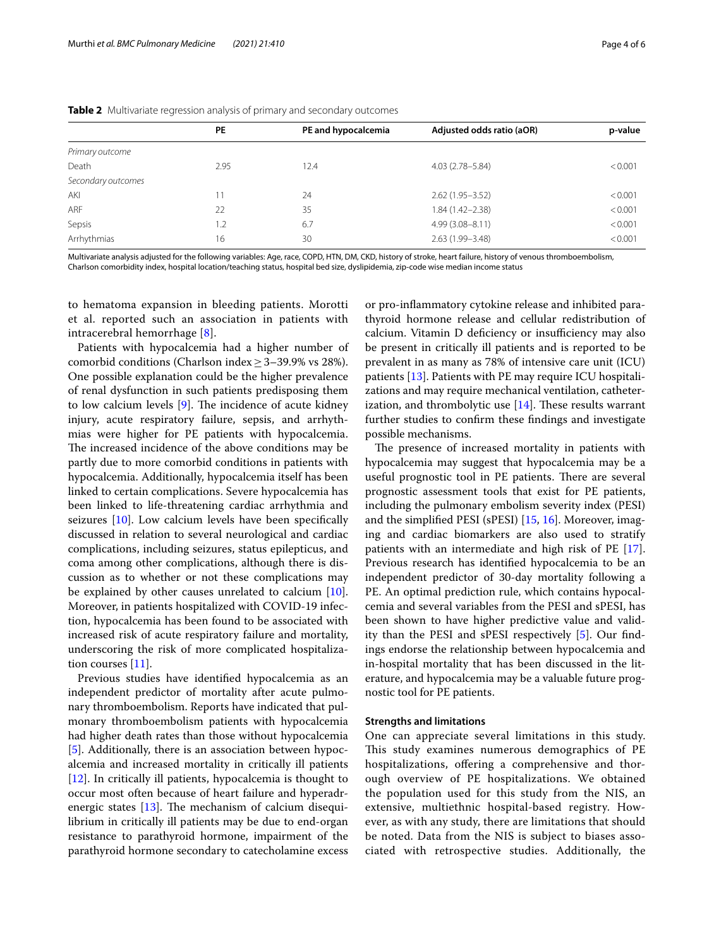|                    | <b>PE</b> | PE and hypocalcemia | Adjusted odds ratio (aOR) | p-value |
|--------------------|-----------|---------------------|---------------------------|---------|
| Primary outcome    |           |                     |                           |         |
| Death              | 2.95      | 12.4                | $4.03(2.78 - 5.84)$       | < 0.001 |
| Secondary outcomes |           |                     |                           |         |
| AKI                |           | 24                  | $2.62(1.95 - 3.52)$       | < 0.001 |
| ARF                | 22        | 35                  | $1.84(1.42 - 2.38)$       | < 0.001 |
| Sepsis             | $L^2$     | 6.7                 | $4.99(3.08 - 8.11)$       | < 0.001 |
| Arrhythmias        | 16        | 30                  | 2.63 (1.99-3.48)          | < 0.001 |

<span id="page-3-0"></span>**Table 2** Multivariate regression analysis of primary and secondary outcomes

Multivariate analysis adjusted for the following variables: Age, race, COPD, HTN, DM, CKD, history of stroke, heart failure, history of venous thromboembolism, Charlson comorbidity index, hospital location/teaching status, hospital bed size, dyslipidemia, zip-code wise median income status

to hematoma expansion in bleeding patients. Morotti et al. reported such an association in patients with intracerebral hemorrhage [[8](#page-4-7)].

Patients with hypocalcemia had a higher number of comorbid conditions (Charlson index  $\geq$  3–39.9% vs 28%). One possible explanation could be the higher prevalence of renal dysfunction in such patients predisposing them to low calcium levels  $[9]$  $[9]$ . The incidence of acute kidney injury, acute respiratory failure, sepsis, and arrhythmias were higher for PE patients with hypocalcemia. The increased incidence of the above conditions may be partly due to more comorbid conditions in patients with hypocalcemia. Additionally, hypocalcemia itself has been linked to certain complications. Severe hypocalcemia has been linked to life-threatening cardiac arrhythmia and seizures [\[10](#page-4-9)]. Low calcium levels have been specifcally discussed in relation to several neurological and cardiac complications, including seizures, status epilepticus, and coma among other complications, although there is discussion as to whether or not these complications may be explained by other causes unrelated to calcium [\[10](#page-4-9)]. Moreover, in patients hospitalized with COVID-19 infection, hypocalcemia has been found to be associated with increased risk of acute respiratory failure and mortality, underscoring the risk of more complicated hospitalization courses [[11\]](#page-4-10).

Previous studies have identifed hypocalcemia as an independent predictor of mortality after acute pulmonary thromboembolism. Reports have indicated that pulmonary thromboembolism patients with hypocalcemia had higher death rates than those without hypocalcemia [[5\]](#page-4-4). Additionally, there is an association between hypocalcemia and increased mortality in critically ill patients [[12\]](#page-4-11). In critically ill patients, hypocalcemia is thought to occur most often because of heart failure and hyperadrenergic states  $[13]$  $[13]$ . The mechanism of calcium disequilibrium in critically ill patients may be due to end-organ resistance to parathyroid hormone, impairment of the parathyroid hormone secondary to catecholamine excess

or pro-infammatory cytokine release and inhibited parathyroid hormone release and cellular redistribution of calcium. Vitamin D deficiency or insufficiency may also be present in critically ill patients and is reported to be prevalent in as many as 78% of intensive care unit (ICU) patients [[13\]](#page-4-12). Patients with PE may require ICU hospitalizations and may require mechanical ventilation, catheterization, and thrombolytic use  $[14]$  $[14]$ . These results warrant further studies to confrm these fndings and investigate possible mechanisms.

The presence of increased mortality in patients with hypocalcemia may suggest that hypocalcemia may be a useful prognostic tool in PE patients. There are several prognostic assessment tools that exist for PE patients, including the pulmonary embolism severity index (PESI) and the simplifed PESI (sPESI) [\[15,](#page-5-0) [16\]](#page-5-1). Moreover, imaging and cardiac biomarkers are also used to stratify patients with an intermediate and high risk of PE [\[17](#page-5-2)]. Previous research has identifed hypocalcemia to be an independent predictor of 30-day mortality following a PE. An optimal prediction rule, which contains hypocalcemia and several variables from the PESI and sPESI, has been shown to have higher predictive value and validity than the PESI and sPESI respectively [[5\]](#page-4-4). Our fndings endorse the relationship between hypocalcemia and in-hospital mortality that has been discussed in the literature, and hypocalcemia may be a valuable future prognostic tool for PE patients.

#### **Strengths and limitations**

One can appreciate several limitations in this study. This study examines numerous demographics of PE hospitalizations, offering a comprehensive and thorough overview of PE hospitalizations. We obtained the population used for this study from the NIS, an extensive, multiethnic hospital-based registry. However, as with any study, there are limitations that should be noted. Data from the NIS is subject to biases associated with retrospective studies. Additionally, the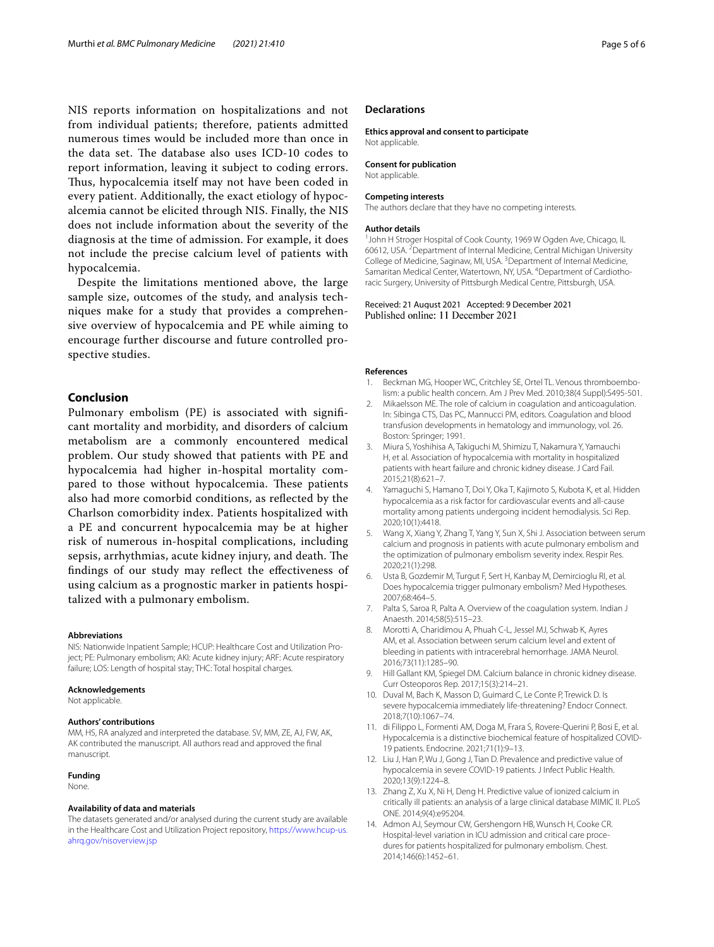NIS reports information on hospitalizations and not from individual patients; therefore, patients admitted numerous times would be included more than once in the data set. The database also uses ICD-10 codes to report information, leaving it subject to coding errors. Thus, hypocalcemia itself may not have been coded in every patient. Additionally, the exact etiology of hypocalcemia cannot be elicited through NIS. Finally, the NIS does not include information about the severity of the diagnosis at the time of admission. For example, it does not include the precise calcium level of patients with hypocalcemia.

Despite the limitations mentioned above, the large sample size, outcomes of the study, and analysis techniques make for a study that provides a comprehensive overview of hypocalcemia and PE while aiming to encourage further discourse and future controlled prospective studies.

# **Conclusion**

Pulmonary embolism (PE) is associated with signifcant mortality and morbidity, and disorders of calcium metabolism are a commonly encountered medical problem. Our study showed that patients with PE and hypocalcemia had higher in-hospital mortality compared to those without hypocalcemia. These patients also had more comorbid conditions, as refected by the Charlson comorbidity index. Patients hospitalized with a PE and concurrent hypocalcemia may be at higher risk of numerous in-hospital complications, including sepsis, arrhythmias, acute kidney injury, and death. The fndings of our study may refect the efectiveness of using calcium as a prognostic marker in patients hospitalized with a pulmonary embolism.

#### **Abbreviations**

NIS: Nationwide Inpatient Sample; HCUP: Healthcare Cost and Utilization Project; PE: Pulmonary embolism; AKI: Acute kidney injury; ARF: Acute respiratory failure; LOS: Length of hospital stay; THC: Total hospital charges.

#### **Acknowledgements**

Not applicable.

#### **Authors' contributions**

MM, HS, RA analyzed and interpreted the database. SV, MM, ZE, AJ, FW, AK, AK contributed the manuscript. All authors read and approved the fnal manuscript.

#### **Funding**

None.

#### **Availability of data and materials**

The datasets generated and/or analysed during the current study are available in the Healthcare Cost and Utilization Project repository, [https://www.hcup-us.](https://www.hcup-us.ahrq.gov/nisoverview.jsp) [ahrq.gov/nisoverview.jsp](https://www.hcup-us.ahrq.gov/nisoverview.jsp)

#### **Declarations**

**Ethics approval and consent to participate** Not applicable.

**Consent for publication**

Not applicable.

#### **Competing interests**

The authors declare that they have no competing interests.

# **Author details**

<sup>1</sup> John H Stroger Hospital of Cook County, 1969 W Ogden Ave, Chicago, IL 60612, USA. <sup>2</sup> Department of Internal Medicine, Central Michigan University College of Medicine, Saginaw, MI, USA.<sup>3</sup> Department of Internal Medicine, Samaritan Medical Center, Watertown, NY, USA. <sup>4</sup> Department of Cardiothoracic Surgery, University of Pittsburgh Medical Centre, Pittsburgh, USA.

Received: 21 August 2021 Accepted: 9 December 2021 Published online: 11 December 2021

#### **References**

- <span id="page-4-0"></span>1. Beckman MG, Hooper WC, Critchley SE, Ortel TL. Venous thromboembolism: a public health concern. Am J Prev Med. 2010;38(4 Suppl):S495-501.
- <span id="page-4-1"></span>2. Mikaelsson ME. The role of calcium in coagulation and anticoagulation. In: Sibinga CTS, Das PC, Mannucci PM, editors. Coagulation and blood transfusion developments in hematology and immunology, vol. 26. Boston: Springer; 1991.
- <span id="page-4-2"></span>3. Miura S, Yoshihisa A, Takiguchi M, Shimizu T, Nakamura Y, Yamauchi H, et al. Association of hypocalcemia with mortality in hospitalized patients with heart failure and chronic kidney disease. J Card Fail. 2015;21(8):621–7.
- <span id="page-4-3"></span>4. Yamaguchi S, Hamano T, Doi Y, Oka T, Kajimoto S, Kubota K, et al. Hidden hypocalcemia as a risk factor for cardiovascular events and all-cause mortality among patients undergoing incident hemodialysis. Sci Rep. 2020;10(1):4418.
- <span id="page-4-4"></span>5. Wang X, Xiang Y, Zhang T, Yang Y, Sun X, Shi J. Association between serum calcium and prognosis in patients with acute pulmonary embolism and the optimization of pulmonary embolism severity index. Respir Res. 2020;21(1):298.
- <span id="page-4-5"></span>6. Usta B, Gozdemir M, Turgut F, Sert H, Kanbay M, Demircioglu RI, et al. Does hypocalcemia trigger pulmonary embolism? Med Hypotheses. 2007;68:464–5.
- <span id="page-4-6"></span>7. Palta S, Saroa R, Palta A. Overview of the coagulation system. Indian J Anaesth. 2014;58(5):515–23.
- <span id="page-4-7"></span>8. Morotti A, Charidimou A, Phuah C-L, Jessel MJ, Schwab K, Ayres AM, et al. Association between serum calcium level and extent of bleeding in patients with intracerebral hemorrhage. JAMA Neurol. 2016;73(11):1285–90.
- <span id="page-4-8"></span>9. Hill Gallant KM, Spiegel DM. Calcium balance in chronic kidney disease. Curr Osteoporos Rep. 2017;15(3):214–21.
- <span id="page-4-9"></span>10. Duval M, Bach K, Masson D, Guimard C, Le Conte P, Trewick D. Is severe hypocalcemia immediately life-threatening? Endocr Connect. 2018;7(10):1067–74.
- <span id="page-4-10"></span>11. di Filippo L, Formenti AM, Doga M, Frara S, Rovere-Querini P, Bosi E, et al. Hypocalcemia is a distinctive biochemical feature of hospitalized COVID-19 patients. Endocrine. 2021;71(1):9–13.
- <span id="page-4-11"></span>12. Liu J, Han P, Wu J, Gong J, Tian D. Prevalence and predictive value of hypocalcemia in severe COVID-19 patients. J Infect Public Health. 2020;13(9):1224–8.
- <span id="page-4-12"></span>13. Zhang Z, Xu X, Ni H, Deng H. Predictive value of ionized calcium in critically ill patients: an analysis of a large clinical database MIMIC II. PLoS ONE. 2014;9(4):e95204.
- <span id="page-4-13"></span>14. Admon AJ, Seymour CW, Gershengorn HB, Wunsch H, Cooke CR. Hospital-level variation in ICU admission and critical care procedures for patients hospitalized for pulmonary embolism. Chest. 2014;146(6):1452–61.